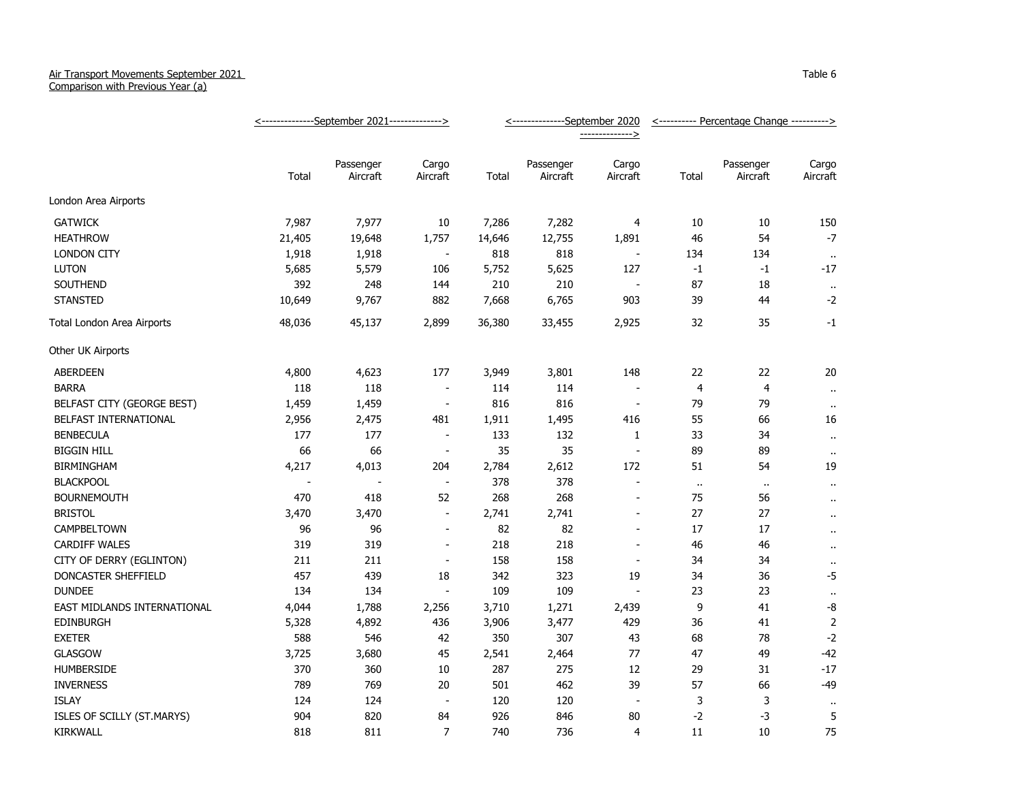## Air Transport Movements September 2021

Comparison with Previous Year (a)

|                             | <--------------September 2021--------------> |                          |                          | <---------------September 2020 |                       |                          | <---------- Percentage Change ----------> |                       |                      |
|-----------------------------|----------------------------------------------|--------------------------|--------------------------|--------------------------------|-----------------------|--------------------------|-------------------------------------------|-----------------------|----------------------|
|                             |                                              |                          |                          |                                |                       | -------------->          |                                           |                       |                      |
|                             | Total                                        | Passenger<br>Aircraft    | Cargo<br>Aircraft        | Total                          | Passenger<br>Aircraft | Cargo<br>Aircraft        | Total                                     | Passenger<br>Aircraft | Cargo<br>Aircraft    |
| London Area Airports        |                                              |                          |                          |                                |                       |                          |                                           |                       |                      |
| <b>GATWICK</b>              | 7,987                                        | 7,977                    | 10                       | 7,286                          | 7,282                 | $\overline{4}$           | 10                                        | 10                    | 150                  |
| <b>HEATHROW</b>             | 21,405                                       | 19,648                   | 1,757                    | 14,646                         | 12,755                | 1,891                    | 46                                        | 54                    | $-7$                 |
| <b>LONDON CITY</b>          | 1,918                                        | 1,918                    | $\overline{\phantom{a}}$ | 818                            | 818                   | $\overline{\phantom{a}}$ | 134                                       | 134                   | $\bullet\bullet$     |
| <b>LUTON</b>                | 5,685                                        | 5,579                    | 106                      | 5,752                          | 5,625                 | 127                      | $-1$                                      | $-1$                  | $-17$                |
| SOUTHEND                    | 392                                          | 248                      | 144                      | 210                            | 210                   |                          | 87                                        | 18                    | $\alpha$             |
| <b>STANSTED</b>             | 10,649                                       | 9,767                    | 882                      | 7,668                          | 6,765                 | 903                      | 39                                        | 44                    | $-2$                 |
| Total London Area Airports  | 48,036                                       | 45,137                   | 2,899                    | 36,380                         | 33,455                | 2,925                    | 32                                        | 35                    | $-1$                 |
| Other UK Airports           |                                              |                          |                          |                                |                       |                          |                                           |                       |                      |
| ABERDEEN                    | 4,800                                        | 4,623                    | 177                      | 3,949                          | 3,801                 | 148                      | 22                                        | 22                    | 20                   |
| <b>BARRA</b>                | 118                                          | 118                      | $\blacksquare$           | 114                            | 114                   |                          | $\overline{4}$                            | $\overline{4}$        | $\bullet$ .          |
| BELFAST CITY (GEORGE BEST)  | 1,459                                        | 1,459                    | $\overline{\phantom{a}}$ | 816                            | 816                   | $\overline{\phantom{a}}$ | 79                                        | 79                    | $\ddotsc$            |
| BELFAST INTERNATIONAL       | 2,956                                        | 2,475                    | 481                      | 1,911                          | 1,495                 | 416                      | 55                                        | 66                    | 16                   |
| <b>BENBECULA</b>            | 177                                          | 177                      | $\overline{\phantom{a}}$ | 133                            | 132                   | $\mathbf{1}$             | 33                                        | 34                    | $\ddot{\phantom{a}}$ |
| <b>BIGGIN HILL</b>          | 66                                           | 66                       | $\blacksquare$           | 35                             | 35                    | $\sim$                   | 89                                        | 89                    | $\bullet$ .          |
| <b>BIRMINGHAM</b>           | 4,217                                        | 4,013                    | 204                      | 2,784                          | 2,612                 | 172                      | 51                                        | 54                    | 19                   |
| <b>BLACKPOOL</b>            | $\overline{\phantom{a}}$                     | $\overline{\phantom{a}}$ | $\blacksquare$           | 378                            | 378                   | $\sim$                   | $\ddot{\phantom{1}}$                      | $\sim$                | $\ddot{\phantom{1}}$ |
| <b>BOURNEMOUTH</b>          | 470                                          | 418                      | 52                       | 268                            | 268                   | $\overline{\phantom{a}}$ | 75                                        | 56                    | $\alpha$             |
| <b>BRISTOL</b>              | 3,470                                        | 3,470                    | $\overline{\phantom{a}}$ | 2,741                          | 2,741                 | $\blacksquare$           | 27                                        | 27                    | $\ddot{\phantom{a}}$ |
| CAMPBELTOWN                 | 96                                           | 96                       | $\overline{a}$           | 82                             | 82                    | $\sim$                   | 17                                        | 17                    | $\bullet$ .          |
| <b>CARDIFF WALES</b>        | 319                                          | 319                      | $\overline{\phantom{a}}$ | 218                            | 218                   | $\overline{\phantom{a}}$ | 46                                        | 46                    | $\bullet$ .          |
| CITY OF DERRY (EGLINTON)    | 211                                          | 211                      | $\overline{\phantom{a}}$ | 158                            | 158                   | $\overline{\phantom{a}}$ | 34                                        | 34                    | $\bullet$ .          |
| DONCASTER SHEFFIELD         | 457                                          | 439                      | 18                       | 342                            | 323                   | 19                       | 34                                        | 36                    | $-5$                 |
| <b>DUNDEE</b>               | 134                                          | 134                      | $\blacksquare$           | 109                            | 109                   |                          | 23                                        | 23                    | $\sim$               |
| EAST MIDLANDS INTERNATIONAL | 4,044                                        | 1,788                    | 2,256                    | 3,710                          | 1,271                 | 2,439                    | 9                                         | 41                    | -8                   |
| <b>EDINBURGH</b>            | 5,328                                        | 4,892                    | 436                      | 3,906                          | 3,477                 | 429                      | 36                                        | 41                    | $\mathbf 2$          |
| <b>EXETER</b>               | 588                                          | 546                      | 42                       | 350                            | 307                   | 43                       | 68                                        | 78                    | $-2$                 |
| <b>GLASGOW</b>              | 3,725                                        | 3,680                    | 45                       | 2,541                          | 2,464                 | 77                       | 47                                        | 49                    | $-42$                |
| <b>HUMBERSIDE</b>           | 370                                          | 360                      | 10                       | 287                            | 275                   | 12                       | 29                                        | 31                    | $-17$                |
| <b>INVERNESS</b>            | 789                                          | 769                      | 20                       | 501                            | 462                   | 39                       | 57                                        | 66                    | $-49$                |
| <b>ISLAY</b>                | 124                                          | 124                      | $\blacksquare$           | 120                            | 120                   | $\overline{\phantom{a}}$ | 3                                         | 3                     | $\cdot$ .            |
| ISLES OF SCILLY (ST.MARYS)  | 904                                          | 820                      | 84                       | 926                            | 846                   | 80                       | $-2$                                      | -3                    | 5                    |
| KIRKWALL                    | 818                                          | 811                      | $\overline{7}$           | 740                            | 736                   | 4                        | 11                                        | 10                    | 75                   |